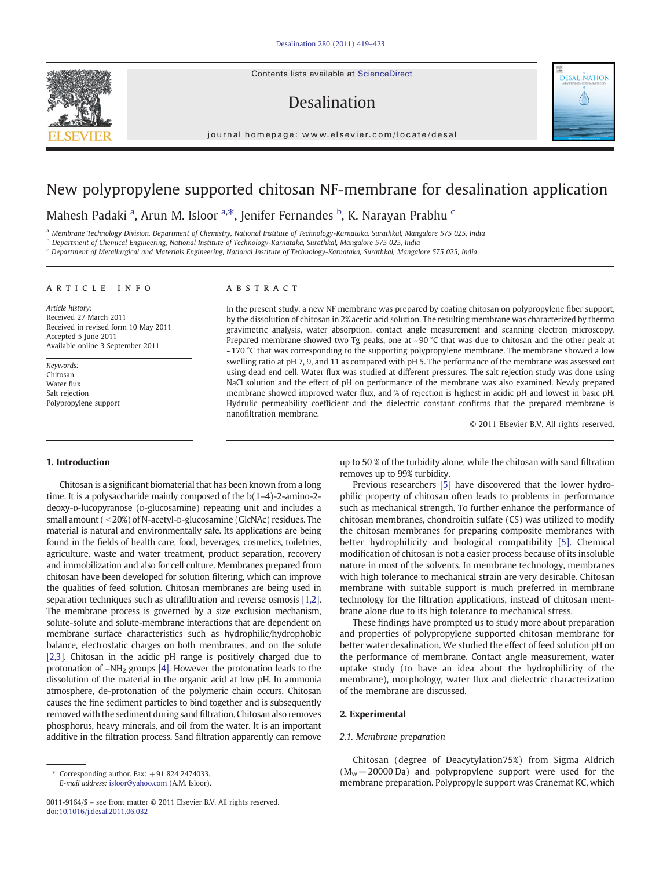Contents lists available at [ScienceDirect](http://www.sciencedirect.com/science/journal/00119164)

# Desalination



# New polypropylene supported chitosan NF-membrane for desalination application

Mahesh Padaki <sup>a</sup>, Arun M. Isloor <sup>a,\*</sup>, Jenifer Fernandes <sup>b</sup>, K. Narayan Prabhu <sup>c</sup>

a Membrane Technology Division, Department of Chemistry, National Institute of Technology-Karnataka, Surathkal, Mangalore 575 025, India

<sup>b</sup> Department of Chemical Engineering, National Institute of Technology-Karnataka, Surathkal, Mangalore 575 025, India

<sup>c</sup> Department of Metallurgical and Materials Engineering, National Institute of Technology-Karnataka, Surathkal, Mangalore 575 025, India

# article info abstract

Article history: Received 27 March 2011 Received in revised form 10 May 2011 Accepted 5 June 2011 Available online 3 September 2011

Keywords: Chitosan Water flux Salt rejection Polypropylene support

In the present study, a new NF membrane was prepared by coating chitosan on polypropylene fiber support, by the dissolution of chitosan in 2% acetic acid solution. The resulting membrane was characterized by thermo gravimetric analysis, water absorption, contact angle measurement and scanning electron microscopy. Prepared membrane showed two Tg peaks, one at ~90 °C that was due to chitosan and the other peak at ~170 °C that was corresponding to the supporting polypropylene membrane. The membrane showed a low swelling ratio at pH 7, 9, and 11 as compared with pH 5. The performance of the membrane was assessed out using dead end cell. Water flux was studied at different pressures. The salt rejection study was done using NaCl solution and the effect of pH on performance of the membrane was also examined. Newly prepared membrane showed improved water flux, and % of rejection is highest in acidic pH and lowest in basic pH. Hydrulic permeability coefficient and the dielectric constant confirms that the prepared membrane is nanofiltration membrane.

© 2011 Elsevier B.V. All rights reserved.

DESALINATION

#### 1. Introduction

Chitosan is a significant biomaterial that has been known from a long time. It is a polysaccharide mainly composed of the b(1–4)-2-amino-2 deoxy-D-lucopyranose (D-glucosamine) repeating unit and includes a small amount ( $\langle 20\% \rangle$  of N-acetyl-D-glucosamine (GlcNAc) residues. The material is natural and environmentally safe. Its applications are being found in the fields of health care, food, beverages, cosmetics, toiletries, agriculture, waste and water treatment, product separation, recovery and immobilization and also for cell culture. Membranes prepared from chitosan have been developed for solution filtering, which can improve the qualities of feed solution. Chitosan membranes are being used in separation techniques such as ultrafiltration and reverse osmosis [\[1,2\].](#page-3-0) The membrane process is governed by a size exclusion mechanism, solute-solute and solute-membrane interactions that are dependent on membrane surface characteristics such as hydrophilic/hydrophobic balance, electrostatic charges on both membranes, and on the solute [\[2,3\]](#page-3-0). Chitosan in the acidic pH range is positively charged due to protonation of  $-NH<sub>2</sub>$  groups [\[4\]](#page-3-0). However the protonation leads to the dissolution of the material in the organic acid at low pH. In ammonia atmosphere, de-protonation of the polymeric chain occurs. Chitosan causes the fine sediment particles to bind together and is subsequently removed with the sediment during sand filtration. Chitosan also removes phosphorus, heavy minerals, and oil from the water. It is an important additive in the filtration process. Sand filtration apparently can remove

up to 50 % of the turbidity alone, while the chitosan with sand filtration removes up to 99% turbidity.

Previous researchers [\[5\]](#page-3-0) have discovered that the lower hydrophilic property of chitosan often leads to problems in performance such as mechanical strength. To further enhance the performance of chitosan membranes, chondroitin sulfate (CS) was utilized to modify the chitosan membranes for preparing composite membranes with better hydrophilicity and biological compatibility [\[5\]](#page-3-0). Chemical modification of chitosan is not a easier process because of its insoluble nature in most of the solvents. In membrane technology, membranes with high tolerance to mechanical strain are very desirable. Chitosan membrane with suitable support is much preferred in membrane technology for the filtration applications, instead of chitosan membrane alone due to its high tolerance to mechanical stress.

These findings have prompted us to study more about preparation and properties of polypropylene supported chitosan membrane for better water desalination. We studied the effect of feed solution pH on the performance of membrane. Contact angle measurement, water uptake study (to have an idea about the hydrophilicity of the membrane), morphology, water flux and dielectric characterization of the membrane are discussed.

# 2. Experimental

#### 2.1. Membrane preparation

Chitosan (degree of Deacytylation75%) from Sigma Aldrich  $(M_w = 20000 \text{ Da})$  and polypropylene support were used for the membrane preparation. Polypropyle support was Cranemat KC, which



Corresponding author. Fax:  $+918242474033$ . E-mail address: [isloor@yahoo.com](mailto:isloor@yahoo.com) (A.M. Isloor).

<sup>0011-9164/\$</sup> – see front matter © 2011 Elsevier B.V. All rights reserved. doi:[10.1016/j.desal.2011.06.032](http://dx.doi.org/10.1016/j.desal.2011.06.032)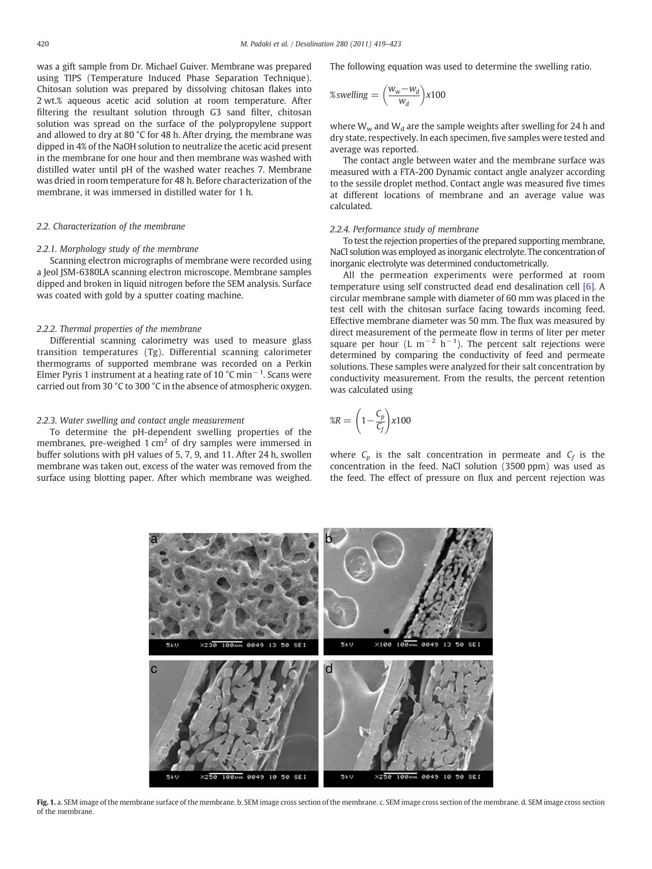<span id="page-1-0"></span>was a gift sample from Dr. Michael Guiver. Membrane was prepared using TIPS (Temperature Induced Phase Separation Technique). Chitosan solution was prepared by dissolving chitosan flakes into 2 wt.% aqueous acetic acid solution at room temperature. After filtering the resultant solution through G3 sand filter, chitosan solution was spread on the surface of the polypropylene support and allowed to dry at 80 °C for 48 h. After drying, the membrane was dipped in 4% of the NaOH solution to neutralize the acetic acid present in the membrane for one hour and then membrane was washed with distilled water until pH of the washed water reaches 7. Membrane was dried in room temperature for 48 h. Before characterization of the membrane, it was immersed in distilled water for 1 h.

# 2.2. Characterization of the membrane

#### 2.2.1. Morphology study of the membrane

Scanning electron micrographs of membrane were recorded using a Jeol JSM-6380LA scanning electron microscope. Membrane samples dipped and broken in liquid nitrogen before the SEM analysis. Surface was coated with gold by a sputter coating machine.

#### 2.2.2. Thermal properties of the membrane

Differential scanning calorimetry was used to measure glass transition temperatures (Tg). Differential scanning calorimeter thermograms of supported membrane was recorded on a Perkin Elmer Pyris 1 instrument at a heating rate of 10 °C min−<sup>1</sup> . Scans were carried out from 30 °C to 300 °C in the absence of atmospheric oxygen.

#### 2.2.3. Water swelling and contact angle measurement

To determine the pH-dependent swelling properties of the membranes, pre-weighed  $1 \text{ cm}^2$  of dry samples were immersed in buffer solutions with pH values of 5, 7, 9, and 11. After 24 h, swollen membrane was taken out, excess of the water was removed from the surface using blotting paper. After which membrane was weighed. The following equation was used to determine the swelling ratio.

$$
\%swelling = \left(\frac{w_w - w_d}{w_d}\right) \times 100
$$

where  $W_w$  and  $W_d$  are the sample weights after swelling for 24 h and dry state, respectively. In each specimen, five samples were tested and average was reported.

The contact angle between water and the membrane surface was measured with a FTA-200 Dynamic contact angle analyzer according to the sessile droplet method. Contact angle was measured five times at different locations of membrane and an average value was calculated.

# 2.2.4. Performance study of membrane

To test the rejection properties of the prepared supporting membrane, NaCl solution was employed as inorganic electrolyte. The concentration of inorganic electrolyte was determined conductometrically.

All the permeation experiments were performed at room temperature using self constructed dead end desalination cell [\[6\].](#page-3-0) A circular membrane sample with diameter of 60 mm was placed in the test cell with the chitosan surface facing towards incoming feed. Effective membrane diameter was 50 mm. The flux was measured by direct measurement of the permeate flow in terms of liter per meter square per hour (L m<sup>-2</sup> h<sup>-1</sup>). The percent salt rejections were determined by comparing the conductivity of feed and permeate solutions. These samples were analyzed for their salt concentration by conductivity measurement. From the results, the percent retention was calculated using

$$
\%R = \left(1 - \frac{C_p}{C_f}\right) \times 100
$$

where  $C_p$  is the salt concentration in permeate and  $C_f$  is the concentration in the feed. NaCl solution (3500 ppm) was used as the feed. The effect of pressure on flux and percent rejection was



Fig. 1. a. SEM image of the membrane surface of the membrane. b. SEM image cross section of the membrane. c. SEM image cross section of the membrane. d. SEM image cross section of the membrane.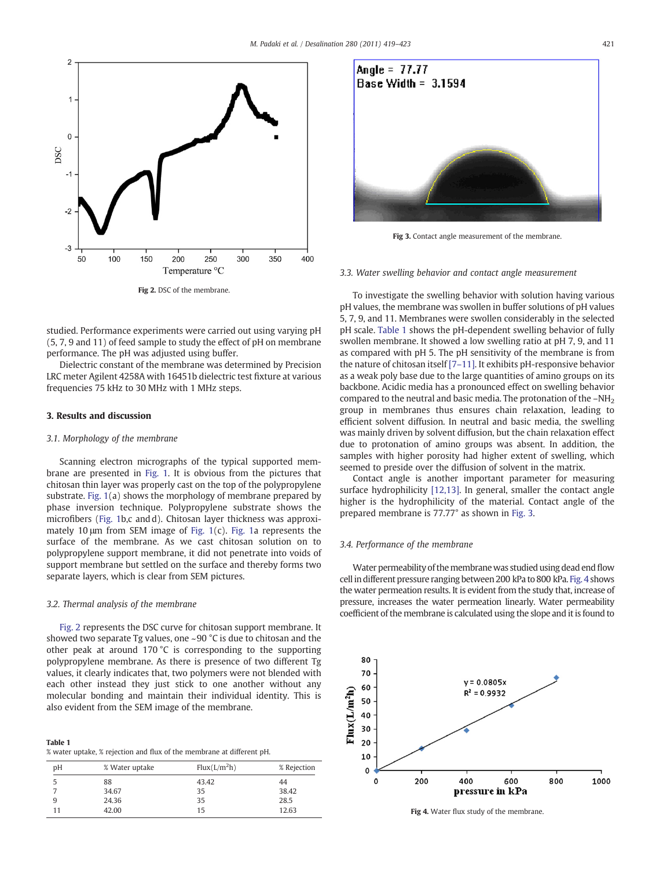<span id="page-2-0"></span>

studied. Performance experiments were carried out using varying pH (5, 7, 9 and 11) of feed sample to study the effect of pH on membrane performance. The pH was adjusted using buffer.

Dielectric constant of the membrane was determined by Precision LRC meter Agilent 4258A with 16451b dielectric test fixture at various frequencies 75 kHz to 30 MHz with 1 MHz steps.

#### 3. Results and discussion

#### 3.1. Morphology of the membrane

Scanning electron micrographs of the typical supported membrane are presented in [Fig. 1](#page-1-0). It is obvious from the pictures that chitosan thin layer was properly cast on the top of the polypropylene substrate. [Fig. 1](#page-1-0)(a) shows the morphology of membrane prepared by phase inversion technique. Polypropylene substrate shows the microfibers ([Fig. 1b](#page-1-0),c and d). Chitosan layer thickness was approximately 10 μm from SEM image of [Fig. 1](#page-1-0)(c). [Fig. 1](#page-1-0)a represents the surface of the membrane. As we cast chitosan solution on to polypropylene support membrane, it did not penetrate into voids of support membrane but settled on the surface and thereby forms two separate layers, which is clear from SEM pictures.

### 3.2. Thermal analysis of the membrane

Fig. 2 represents the DSC curve for chitosan support membrane. It showed two separate Tg values, one ~90 °C is due to chitosan and the other peak at around 170 °C is corresponding to the supporting polypropylene membrane. As there is presence of two different Tg values, it clearly indicates that, two polymers were not blended with each other instead they just stick to one another without any molecular bonding and maintain their individual identity. This is also evident from the SEM image of the membrane.

| Table 1 |                                                                       |
|---------|-----------------------------------------------------------------------|
|         | % water uptake, % rejection and flux of the membrane at different pH. |

| рH             | % Water uptake | Flux(L/m <sup>2</sup> h) | % Rejection |
|----------------|----------------|--------------------------|-------------|
| 5              | 88             | 43.42                    | 44          |
| $\overline{7}$ | 34.67          | 35                       | 38.42       |
| 9              | 24.36          | 35                       | 28.5        |
|                | 42.00          | 15                       | 12.63       |
|                |                |                          |             |



Fig 3. Contact angle measurement of the membrane.

# 3.3. Water swelling behavior and contact angle measurement

To investigate the swelling behavior with solution having various pH values, the membrane was swollen in buffer solutions of pH values 5, 7, 9, and 11. Membranes were swollen considerably in the selected pH scale. Table 1 shows the pH-dependent swelling behavior of fully swollen membrane. It showed a low swelling ratio at pH 7, 9, and 11 as compared with pH 5. The pH sensitivity of the membrane is from the nature of chitosan itself [7–[11\].](#page-3-0) It exhibits pH-responsive behavior as a weak poly base due to the large quantities of amino groups on its backbone. Acidic media has a pronounced effect on swelling behavior compared to the neutral and basic media. The protonation of the -NH<sub>2</sub> group in membranes thus ensures chain relaxation, leading to efficient solvent diffusion. In neutral and basic media, the swelling was mainly driven by solvent diffusion, but the chain relaxation effect due to protonation of amino groups was absent. In addition, the samples with higher porosity had higher extent of swelling, which seemed to preside over the diffusion of solvent in the matrix.

Contact angle is another important parameter for measuring surface hydrophilicity [\[12,13\].](#page-3-0) In general, smaller the contact angle higher is the hydrophilicity of the material. Contact angle of the prepared membrane is 77.77° as shown in Fig. 3.

### 3.4. Performance of the membrane

Water permeability of the membrane was studied using dead end flow cell in different pressure ranging between 200 kPa to 800 kPa. Fig. 4 shows the water permeation results. It is evident from the study that, increase of pressure, increases the water permeation linearly. Water permeability coefficient of the membrane is calculated using the slope and it is found to



Fig 4. Water flux study of the membrane.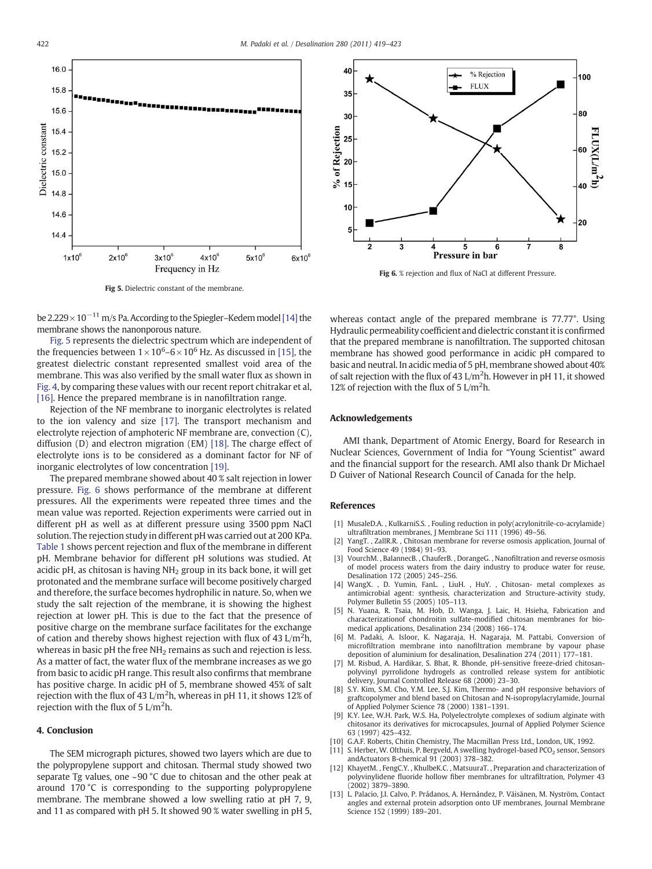<span id="page-3-0"></span>

Fig 5. Dielectric constant of the membrane.

be 2.229 ×  $10^{-11}$  m/s Pa. According to the Spiegler–Kedem model [\[14\]](#page-4-0) the membrane shows the nanonporous nature.

Fig. 5 represents the dielectric spectrum which are independent of the frequencies between  $1 \times 10^6$ –6 $\times$ 10<sup>6</sup> Hz. As discussed in [\[15\],](#page-4-0) the greatest dielectric constant represented smallest void area of the membrane. This was also verified by the small water flux as shown in [Fig. 4](#page-2-0), by comparing these values with our recent report chitrakar et al, [\[16\]](#page-4-0). Hence the prepared membrane is in nanofiltration range.

Rejection of the NF membrane to inorganic electrolytes is related to the ion valency and size [\[17\].](#page-4-0) The transport mechanism and electrolyte rejection of amphoteric NF membrane are, convection (C), diffusion (D) and electron migration (EM) [\[18\]](#page-4-0). The charge effect of electrolyte ions is to be considered as a dominant factor for NF of inorganic electrolytes of low concentration [\[19\]](#page-4-0).

The prepared membrane showed about 40 % salt rejection in lower pressure. Fig. 6 shows performance of the membrane at different pressures. All the experiments were repeated three times and the mean value was reported. Rejection experiments were carried out in different pH as well as at different pressure using 3500 ppm NaCl solution. The rejection study in different pH was carried out at 200 KPa. [Table 1](#page-2-0) shows percent rejection and flux of the membrane in different pH. Membrane behavior for different pH solutions was studied. At acidic pH, as chitosan is having  $NH<sub>2</sub>$  group in its back bone, it will get protonated and the membrane surface will become positively charged and therefore, the surface becomes hydrophilic in nature. So, when we study the salt rejection of the membrane, it is showing the highest rejection at lower pH. This is due to the fact that the presence of positive charge on the membrane surface facilitates for the exchange of cation and thereby shows highest rejection with flux of 43 L/m<sup>2</sup>h, whereas in basic pH the free  $NH<sub>2</sub>$  remains as such and rejection is less. As a matter of fact, the water flux of the membrane increases as we go from basic to acidic pH range. This result also confirms that membrane has positive charge. In acidic pH of 5, membrane showed 45% of salt rejection with the flux of 43 L/m<sup>2</sup>h, whereas in pH 11, it shows 12% of rejection with the flux of  $5 \text{ L/m}^2$ h.

### 4. Conclusion

The SEM micrograph pictures, showed two layers which are due to the polypropylene support and chitosan. Thermal study showed two separate Tg values, one ~90 °C due to chitosan and the other peak at around 170 °C is corresponding to the supporting polypropylene membrane. The membrane showed a low swelling ratio at pH 7, 9, and 11 as compared with pH 5. It showed 90 % water swelling in pH 5,



Fig 6. % rejection and flux of NaCl at different Pressure.

whereas contact angle of the prepared membrane is 77.77°. Using Hydraulic permeability coefficient and dielectric constant it is confirmed that the prepared membrane is nanofiltration. The supported chitosan membrane has showed good performance in acidic pH compared to basic and neutral. In acidic media of 5 pH, membrane showed about 40% of salt rejection with the flux of 43  $L/m<sup>2</sup>$ h. However in pH 11, it showed 12% of rejection with the flux of 5  $L/m<sup>2</sup>h$ .

## Acknowledgements

AMI thank, Department of Atomic Energy, Board for Research in Nuclear Sciences, Government of India for "Young Scientist" award and the financial support for the research. AMI also thank Dr Michael D Guiver of National Research Council of Canada for the help.

### References

- [1] MusaleD.A. , KulkarniS.S. , Fouling reduction in poly(acrylonitrile-co-acrylamide) ultrafiltration membranes, J Membrane Sci 111 (1996) 49–56.
- [2] YangT. , ZallR.R. , Chitosan membrane for reverse osmosis application, Journal of Food Science 49 (1984) 91–93.
- [3] VourchM. , BalannecB. , ChauferB. , DorangeG. , Nanofiltration and reverse osmosis of model process waters from the dairy industry to produce water for reuse, Desalination 172 (2005) 245–256.
- [4] WangX. , D. Yumin, FanL. , LiuH. , HuY. , Chitosan- metal complexes as antimicrobial agent: synthesis, characterization and Structure-activity study, Polymer Bulletin 55 (2005) 105–113.
- [5] N. Yuana, R. Tsaia, M. Hob, D. Wanga, J. Laic, H. Hsieha, Fabrication and characterizationof chondroitin sulfate-modified chitosan membranes for biomedical applications, Desalination 234 (2008) 166–174.
- [6] M. Padaki, A. Isloor, K. Nagaraja, H. Nagaraja, M. Pattabi, Conversion of microfiltration membrane into nanofiltration membrane by vapour phase deposition of aluminium for desalination, Desalination 274 (2011) 177–181.
- [7] M. Risbud, A. Hardikar, S. Bhat, R. Bhonde, pH-sensitive freeze-dried chitosanpolyvinyl pyrrolidone hydrogels as controlled release system for antibiotic delivery, Journal Controlled Release 68 (2000) 23–30.
- [8] S.Y. Kim, S.M. Cho, Y.M. Lee, S.J. Kim, Thermo- and pH responsive behaviors of graftcopolymer and blend based on Chitosan and N-isopropylacrylamide, Journal of Applied Polymer Science 78 (2000) 1381–1391.
- [9] K.Y. Lee, W.H. Park, W.S. Ha, Polyelectrolyte complexes of sodium alginate with chitosanor its derivatives for microcapsules, Journal of Applied Polymer Science 63 (1997) 425–432.
- [10] G.A.F. Roberts, Chitin Chemistry, The Macmillan Press Ltd., London, UK, 1992.
- [11] S. Herber, W. Olthuis, P. Bergveld, A swelling hydrogel-based PCO<sub>2</sub> sensor, Sensors andActuators B-chemical 91 (2003) 378–382.
- [12] KhayetM., FengC.Y., KhulbeK.C., MatsuuraT., Preparation and characterization of polyvinylidene fluoride hollow fiber membranes for ultrafiltration, Polymer 43 (2002) 3879–3890.
- [13] L. Palacio, J.I. Calvo, P. Prádanos, A. Hernández, P. Väisänen, M. Nyström, Contact angles and external protein adsorption onto UF membranes, Journal Membrane Science 152 (1999) 189–201.